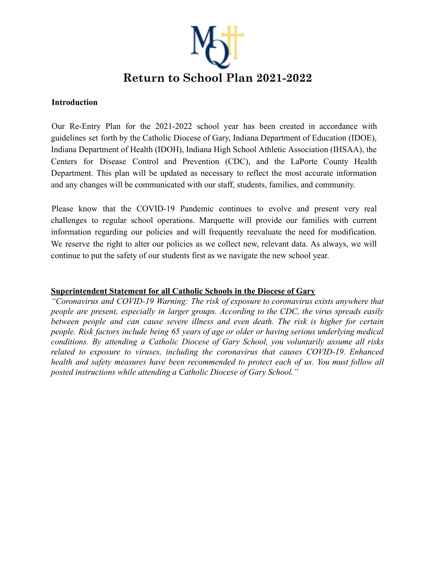

#### **Introduction**

Our Re-Entry Plan for the 2021-2022 school year has been created in accordance with guidelines set forth by the Catholic Diocese of Gary, Indiana Department of Education (IDOE), Indiana Department of Health (IDOH), Indiana High School Athletic Association (IHSAA), the Centers for Disease Control and Prevention (CDC), and the LaPorte County Health Department. This plan will be updated as necessary to reflect the most accurate information and any changes will be communicated with our staff, students, families, and community.

Please know that the COVID-19 Pandemic continues to evolve and present very real challenges to regular school operations. Marquette will provide our families with current information regarding our policies and will frequently reevaluate the need for modification. We reserve the right to alter our policies as we collect new, relevant data. As always, we will continue to put the safety of our students first as we navigate the new school year.

#### **Superintendent Statement for all Catholic Schools in the Diocese of Gary**

*"Coronavirus and COVID-19 Warning: The risk of exposure to coronavirus exists anywhere that people are present, especially in larger groups. According to the CDC, the virus spreads easily between people and can cause severe illness and even death. The risk is higher for certain people. Risk factors include being 65 years of age or older or having serious underlying medical conditions. By attending a Catholic Diocese of Gary School, you voluntarily assume all risks related to exposure to viruses, including the coronavirus that causes COVID-19. Enhanced health and safety measures have been recommended to protect each of us. You must follow all posted instructions while attending a Catholic Diocese of Gary School."*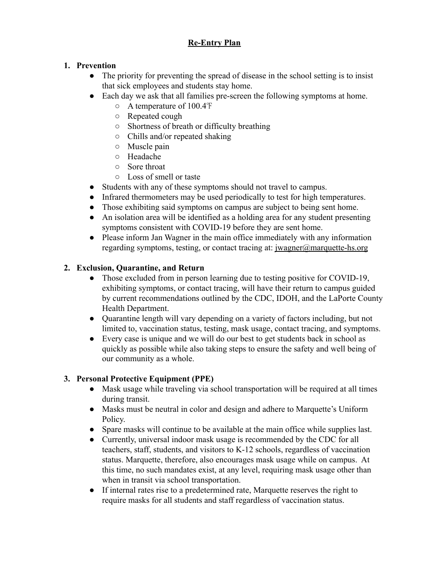# **Re-Entry Plan**

# **1. Prevention**

- The priority for preventing the spread of disease in the school setting is to insist that sick employees and students stay home.
- Each day we ask that all families pre-screen the following symptoms at home.
	- A temperature of 100.4℉
	- Repeated cough
	- Shortness of breath or difficulty breathing
	- Chills and/or repeated shaking
	- Muscle pain
	- Headache
	- Sore throat
	- Loss of smell or taste
- Students with any of these symptoms should not travel to campus.
- Infrared thermometers may be used periodically to test for high temperatures.
- Those exhibiting said symptoms on campus are subject to being sent home.
- An isolation area will be identified as a holding area for any student presenting symptoms consistent with COVID-19 before they are sent home.
- Please inform Jan Wagner in the main office immediately with any information regarding symptoms, testing, or contact tracing at: jwagner@marquette-hs.org

### **2. Exclusion, Quarantine, and Return**

- Those excluded from in person learning due to testing positive for COVID-19, exhibiting symptoms, or contact tracing, will have their return to campus guided by current recommendations outlined by the CDC, IDOH, and the LaPorte County Health Department.
- Quarantine length will vary depending on a variety of factors including, but not limited to, vaccination status, testing, mask usage, contact tracing, and symptoms.
- Every case is unique and we will do our best to get students back in school as quickly as possible while also taking steps to ensure the safety and well being of our community as a whole.

# **3. Personal Protective Equipment (PPE)**

- Mask usage while traveling via school transportation will be required at all times during transit.
- Masks must be neutral in color and design and adhere to Marquette's Uniform Policy.
- Spare masks will continue to be available at the main office while supplies last.
- Currently, universal indoor mask usage is recommended by the CDC for all teachers, staff, students, and visitors to K-12 schools, regardless of vaccination status. Marquette, therefore, also encourages mask usage while on campus. At this time, no such mandates exist, at any level, requiring mask usage other than when in transit via school transportation.
- If internal rates rise to a predetermined rate, Marquette reserves the right to require masks for all students and staff regardless of vaccination status.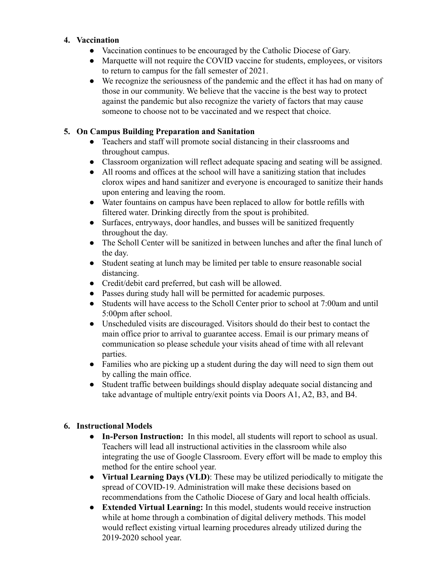#### **4. Vaccination**

- **●** Vaccination continues to be encouraged by the Catholic Diocese of Gary.
- **●** Marquette will not require the COVID vaccine for students, employees, or visitors to return to campus for the fall semester of 2021.
- **●** We recognize the seriousness of the pandemic and the effect it has had on many of those in our community. We believe that the vaccine is the best way to protect against the pandemic but also recognize the variety of factors that may cause someone to choose not to be vaccinated and we respect that choice.

# **5. On Campus Building Preparation and Sanitation**

- Teachers and staff will promote social distancing in their classrooms and throughout campus.
- Classroom organization will reflect adequate spacing and seating will be assigned.
- All rooms and offices at the school will have a sanitizing station that includes clorox wipes and hand sanitizer and everyone is encouraged to sanitize their hands upon entering and leaving the room.
- Water fountains on campus have been replaced to allow for bottle refills with filtered water. Drinking directly from the spout is prohibited.
- Surfaces, entryways, door handles, and busses will be sanitized frequently throughout the day.
- The Scholl Center will be sanitized in between lunches and after the final lunch of the day.
- Student seating at lunch may be limited per table to ensure reasonable social distancing.
- Credit/debit card preferred, but cash will be allowed.
- Passes during study hall will be permitted for academic purposes.
- Students will have access to the Scholl Center prior to school at 7:00am and until 5:00pm after school.
- Unscheduled visits are discouraged. Visitors should do their best to contact the main office prior to arrival to guarantee access. Email is our primary means of communication so please schedule your visits ahead of time with all relevant parties.
- Families who are picking up a student during the day will need to sign them out by calling the main office.
- Student traffic between buildings should display adequate social distancing and take advantage of multiple entry/exit points via Doors A1, A2, B3, and B4.

#### **6. Instructional Models**

- **● In-Person Instruction:** In this model, all students will report to school as usual. Teachers will lead all instructional activities in the classroom while also integrating the use of Google Classroom. Every effort will be made to employ this method for the entire school year.
- **● Virtual Learning Days (VLD)**: These may be utilized periodically to mitigate the spread of COVID-19. Administration will make these decisions based on recommendations from the Catholic Diocese of Gary and local health officials.
- **Extended Virtual Learning:** In this model, students would receive instruction while at home through a combination of digital delivery methods. This model would reflect existing virtual learning procedures already utilized during the 2019-2020 school year.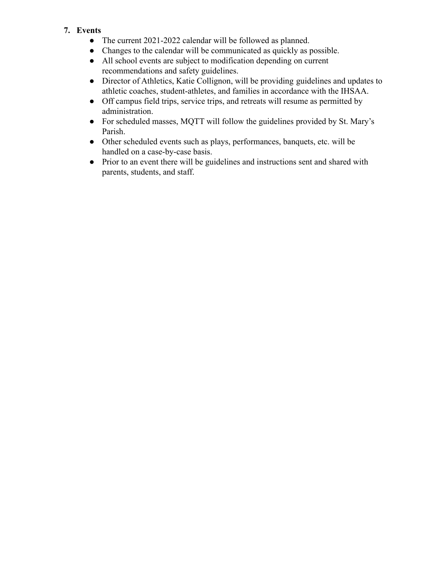# **7. Events**

- **●** The current 2021-2022 calendar will be followed as planned.
- Changes to the calendar will be communicated as quickly as possible.
- All school events are subject to modification depending on current recommendations and safety guidelines.
- **●** Director of Athletics, Katie Collignon, will be providing guidelines and updates to athletic coaches, student-athletes, and families in accordance with the IHSAA.
- **●** Off campus field trips, service trips, and retreats will resume as permitted by administration.
- **●** For scheduled masses, MQTT will follow the guidelines provided by St. Mary's Parish.
- **●** Other scheduled events such as plays, performances, banquets, etc. will be handled on a case-by-case basis.
- **●** Prior to an event there will be guidelines and instructions sent and shared with parents, students, and staff.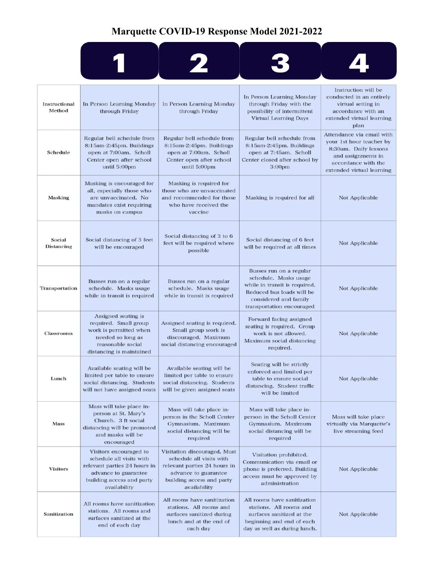# **Marquette COVID-19 Response Model 2021-2022**



| Instructional<br>Method     | In Person Learning Monday<br>through Friday                                                                                                             | In Person Learning Monday<br>through Friday                                                                                                                   | In Person Learning Monday<br>through Friday with the<br>possibility of intermittent<br><b>Virtual Learning Days</b>                                                  | Instruction will be<br>conducted in an entirely<br>virtual setting in<br>accordance with an<br>extended virtual learning<br>plan                         |
|-----------------------------|---------------------------------------------------------------------------------------------------------------------------------------------------------|---------------------------------------------------------------------------------------------------------------------------------------------------------------|----------------------------------------------------------------------------------------------------------------------------------------------------------------------|----------------------------------------------------------------------------------------------------------------------------------------------------------|
| Schedule                    | Regular bell schedule from<br>8:15am-2:45pm. Buildings<br>open at 7:00am. Scholl<br>Center open after school<br>until 5:00pm                            | Regular bell schedule from<br>8:15am-2:45pm. Buildings<br>open at 7:00am. Scholl<br>Center open after school<br>until 5:00pm                                  | Regular bell schedule from<br>8:15am-2:45pm. Buildings<br>open at 7:45am. Scholl<br>Center closed after school by<br>3:00 <sub>pm</sub>                              | Attendance via email with<br>your 1st hour teacher by<br>8:30am. Daily lessons<br>and assignments in<br>accordance with the<br>extended virtual learning |
| <b>Masking</b>              | Masking is encouraged for<br>all, especially those who<br>are unvaccinated. No<br>mandates exist requiring<br>masks on campus                           | Masking is required for<br>those who are unvaccinated<br>and recommended for those<br>who have received the<br>vaccine                                        | Masking is required for all                                                                                                                                          | Not Applicable                                                                                                                                           |
| Social<br><b>Distancing</b> | Social distancing of 3 feet<br>will be encouraged                                                                                                       | Social distancing of 3 to 6<br>feet will be required where<br>possible                                                                                        | Social distancing of 6 feet<br>will be required at all times                                                                                                         | <b>Not Applicable</b>                                                                                                                                    |
| Transportation              | Busses run on a regular<br>schedule. Masks usage<br>while in transit is required                                                                        | Busses run on a regular<br>schedule. Masks usage<br>while in transit is required                                                                              | Busses run on a regular<br>schedule. Masks usage<br>while in transit is required.<br>Reduced bus loads will be<br>considered and family<br>transportation encouraged | <b>Not Applicable</b>                                                                                                                                    |
| <b>Classrooms</b>           | Assigned seating is<br>required. Small group<br>work is permitted when<br>needed so long as<br>reasonable social<br>distancing is maintained            | Assigned seating is required.<br>Small group work is<br>discouraged. Maximum<br>social distancing encouraged                                                  | Forward facing assigned<br>seating is required. Group<br>work is not allowed.<br>Maximum social distancing<br>required.                                              | <b>Not Applicable</b>                                                                                                                                    |
| Lunch                       | Available seating will be<br>limited per table to ensure<br>social distancing. Students<br>will not have assigned seats                                 | Available seating will be<br>limited per table to ensure<br>social distancing. Students<br>will be given assigned seats                                       | Seating will be strictly<br>enforced and limited per<br>table to ensure social<br>distancing. Student traffic<br>will be limited                                     | <b>Not Applicable</b>                                                                                                                                    |
| Mass                        | Mass will take place in-<br>person at St. Mary's<br>Church. 3 ft social<br>distancing will be promoted<br>and masks will be<br>encouraged               | Mass will take place in-<br>person in the Scholl Center<br>Gymnasium. Maximum<br>social distancing will be<br>required                                        | Mass will take place in-<br>person in the Scholl Center<br>Gymnasium. Maximum<br>social distancing will be<br>required                                               | Mass will take place<br>virtually via Marquette's<br>live streaming feed                                                                                 |
| <b>Visitors</b>             | Visitors encouraged to<br>schedule all visits with<br>relevant parties 24 hours in<br>advance to guarantee<br>building access and party<br>availability | Visitation discouraged. Must<br>schedule all visits with<br>relevant parties 24 hours in<br>advance to guarantee<br>building access and party<br>availability | Visitation prohibited.<br>Communication via email or<br>phone is preferred. Building<br>access must be approved by<br>administration                                 | Not Applicable                                                                                                                                           |
| Sanitization                | All rooms have sanitization<br>stations. All rooms and<br>surfaces sanitized at the<br>end of each day                                                  | All rooms have sanitization<br>stations. All rooms and<br>surfaces sanitized during<br>lunch and at the end of<br>each day                                    | All rooms have sanitization<br>stations. All rooms and<br>surfaces sanitized at the<br>beginning and end of each<br>day as well as during lunch.                     | Not Applicable                                                                                                                                           |